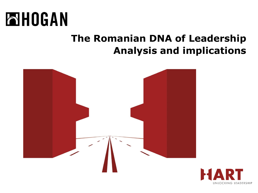

### **The Romanian DNA of Leadership Analysis and implications**



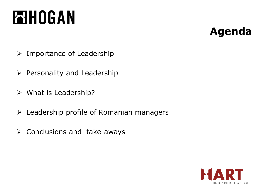### **Agenda**

- ➢ Importance of Leadership
- $\triangleright$  Personality and Leadership
- ➢ What is Leadership?
- $\triangleright$  Leadership profile of Romanian managers
- ➢ Conclusions and take-aways

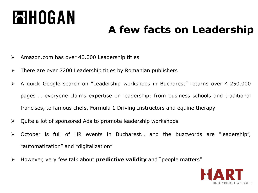# **FIBOGAN**

### **A few facts on Leadership**

- ➢ Amazon.com has over 40.000 Leadership titles
- ➢ There are over 7200 Leadership titles by Romanian publishers
- ➢ A quick Google search on "Leadership workshops in Bucharest" returns over 4.250.000 pages … everyone claims expertise on leadership: from business schools and traditional francises, to famous chefs, Formula 1 Driving Instructors and equine therapy
- ➢ Quite a lot of sponsored Ads to promote leadership workshops
- ➢ October is full of HR events in Bucharest… and the buzzwords are "leadership", "automatization" and "digitalization"
- ➢ However, very few talk about **predictive validity** and "people matters"

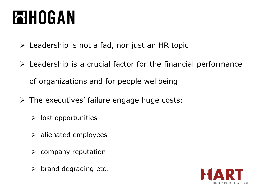## **AHOGAN**

- $\triangleright$  Leadership is not a fad, nor just an HR topic
- $\triangleright$  Leadership is a crucial factor for the financial performance of organizations and for people wellbeing
- $\triangleright$  The executives' failure engage huge costs:
	- $\triangleright$  lost opportunities
	- $\triangleright$  alienated employees
	- $\triangleright$  company reputation
	- $\triangleright$  brand degrading etc.

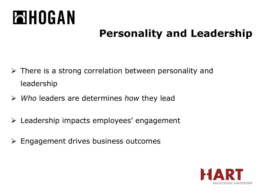## **AHOGAN**

### **Personality and Leadership**

- ➢ There is a strong correlation between personality and leadership
- ➢ *Who* leaders are determines *how* they lead
- ➢ Leadership impacts employees' engagement
- ➢ Engagement drives business outcomes

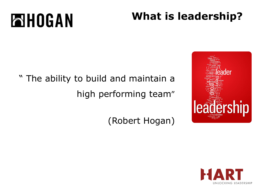### **What is leadership?**

## " The ability to build and maintain a high performing team"

(Robert Hogan)



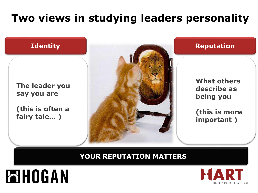### **Two views in studying leaders personality**



#### **YOUR REPUTATION MATTERS**



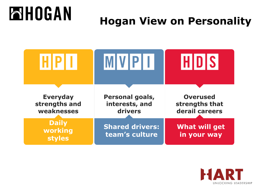### **ENHOGAN Hogan View on Personality**



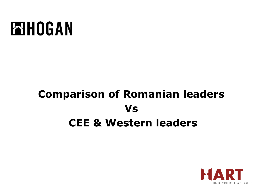## **Comparison of Romanian leaders Vs CEE & Western leaders**

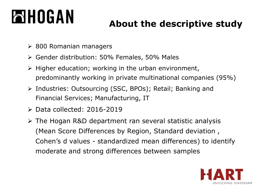### **About the descriptive study**

- $\geq$  800 Romanian managers
- ➢ Gender distribution: 50% Females, 50% Males
- $\triangleright$  Higher education; working in the urban environment, predominantly working in private multinational companies (95%)
- ➢ Industries: Outsourcing (SSC, BPOs); Retail; Banking and Financial Services; Manufacturing, IT
- ➢ Data collected: 2016-2019
- ➢ The Hogan R&D department ran several statistic analysis (Mean Score Differences by Region, Standard deviation , Cohen's d values - standardized mean differences) to identify moderate and strong differences between samples

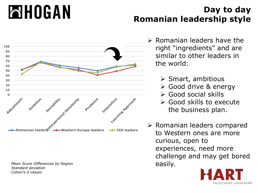

*Mean Score Differences by Region* easily and the set of the easily. *Standard deviation Cohen's d values*

#### **Day to day Romanian leadership style**

- ➢ Romanian leaders have the right "ingredients" and are similar to other leaders in the world:
	- ➢ Smart, ambitious
	- ➢ Good drive & energy
	- ➢ Good social skills
	- ➢ Good skills to execute the business plan.
- ➢ Romanian leaders compared to Western ones are more curious, open to experiences, need more challenge and may get bored

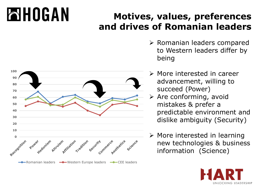### **Motives, values, preferences and drives of Romanian leaders**



- ➢ Romanian leaders compared to Western leaders differ by being
- ➢ More interested in career advancement, willing to succeed (Power)
- ➢ Are conforming, avoid mistakes & prefer a predictable environment and dislike ambiguity (Security)
- ➢ More interested in learning new technologies & business information (Science)

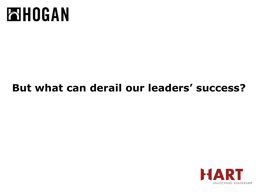

### **But what can derail our leaders' success?**

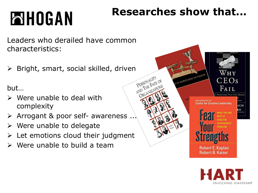### **Researches show that...**

Leaders who derailed have common characteristics:

 $\triangleright$  Bright, smart, social skilled, driven

but…

- $\triangleright$  Were unable to deal with complexity
- ➢ Arrogant & poor self- awareness ...
- $\triangleright$  Were unable to delegate
- $\triangleright$  Let emotions cloud their judgment
- $\triangleright$  Were unable to build a team



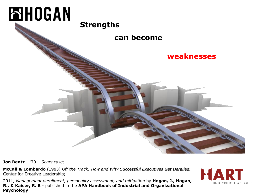

**Jon Bentz** – '70 – *Sears case;*

**McCall & Lombardo** (1983) *Off the Track: How and Why Successful Executives Get Derailed.*  Center for Creative Leadership;

2011, *Management derailment, personality assessment, and mitigation* by **Hogan, J., Hogan, R., & Kaiser, R. B** - published in the **APA Handbook of Industrial and Organizational Psychology** 

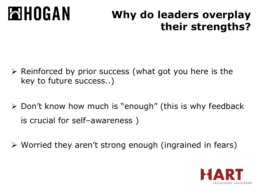#### **NHOGAN Why do leaders overplay their strengths?**

- ➢ Reinforced by prior success (what got you here is the key to future success..)
- ➢ Don't know how much is "enough" (this is why feedback is crucial for self–awareness )
- ➢ Worried they aren't strong enough (ingrained in fears)

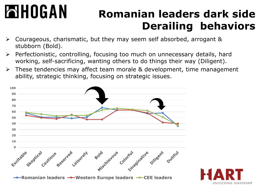### **Romanian leaders dark side Derailing behaviors**

- ➢ Courageous, charismatic, but they may seem self absorbed, arrogant & stubborn (Bold).
- ➢ Perfectionistic, controlling, focusing too much on unnecessary details, hard working, self-sacrificing, wanting others to do things their way (Diligent).
- ➢ These tendencies may affect team morale & development, time management ability, strategic thinking, focusing on strategic issues.



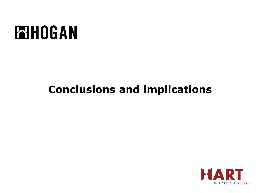### **Conclusions and implications**

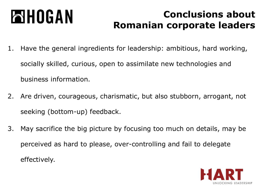#### **ENHOGAN Conclusions about Romanian corporate leaders**

- 1. Have the general ingredients for leadership: ambitious, hard working, socially skilled, curious, open to assimilate new technologies and business information.
- 2. Are driven, courageous, charismatic, but also stubborn, arrogant, not seeking (bottom-up) feedback.
- 3. May sacrifice the big picture by focusing too much on details, may be perceived as hard to please, over-controlling and fail to delegate effectively.

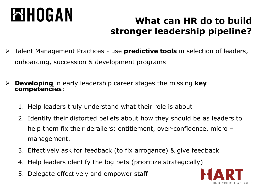### **What can HR do to build stronger leadership pipeline?**

- ➢ Talent Management Practices use **predictive tools** in selection of leaders, onboarding, succession & development programs
- ➢ **Developing** in early leadership career stages the missing **key competencies**:
	- 1. Help leaders truly understand what their role is about
	- 2. Identify their distorted beliefs about how they should be as leaders to help them fix their derailers: entitlement, over-confidence, micro – management.
	- 3. Effectively ask for feedback (to fix arrogance) & give feedback
	- 4. Help leaders identify the big bets (prioritize strategically)
	- 5. Delegate effectively and empower staff